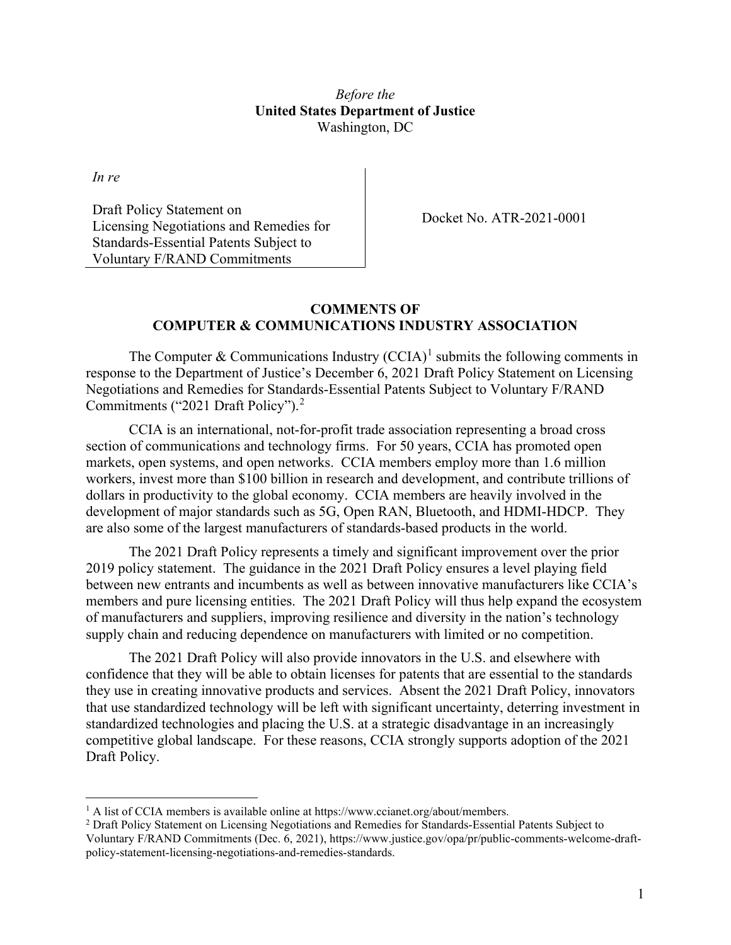### *Before the* **United States Department of Justice** Washington, DC

*In re*

Draft Policy Statement on Licensing Negotiations and Remedies for Standards-Essential Patents Subject to Voluntary F/RAND Commitments

Docket No. ATR-2021-0001

#### **COMMENTS OF COMPUTER & COMMUNICATIONS INDUSTRY ASSOCIATION**

The Computer & Communications Industry  $(CCIA)^1$  $(CCIA)^1$  submits the following comments in response to the Department of Justice's December 6, 2021 Draft Policy Statement on Licensing Negotiations and Remedies for Standards-Essential Patents Subject to Voluntary F/RAND Commitments ("2021 Draft Policy"). [2](#page-0-1)

CCIA is an international, not-for-profit trade association representing a broad cross section of communications and technology firms. For 50 years, CCIA has promoted open markets, open systems, and open networks. CCIA members employ more than 1.6 million workers, invest more than \$100 billion in research and development, and contribute trillions of dollars in productivity to the global economy. CCIA members are heavily involved in the development of major standards such as 5G, Open RAN, Bluetooth, and HDMI-HDCP. They are also some of the largest manufacturers of standards-based products in the world.

The 2021 Draft Policy represents a timely and significant improvement over the prior 2019 policy statement. The guidance in the 2021 Draft Policy ensures a level playing field between new entrants and incumbents as well as between innovative manufacturers like CCIA's members and pure licensing entities. The 2021 Draft Policy will thus help expand the ecosystem of manufacturers and suppliers, improving resilience and diversity in the nation's technology supply chain and reducing dependence on manufacturers with limited or no competition.

The 2021 Draft Policy will also provide innovators in the U.S. and elsewhere with confidence that they will be able to obtain licenses for patents that are essential to the standards they use in creating innovative products and services. Absent the 2021 Draft Policy, innovators that use standardized technology will be left with significant uncertainty, deterring investment in standardized technologies and placing the U.S. at a strategic disadvantage in an increasingly competitive global landscape. For these reasons, CCIA strongly supports adoption of the 2021 Draft Policy.

<span id="page-0-0"></span><sup>&</sup>lt;sup>1</sup> A list of CCIA members is available online at https://www.ccianet.org/about/members.

<span id="page-0-1"></span><sup>&</sup>lt;sup>2</sup> Draft Policy Statement on Licensing Negotiations and Remedies for Standards-Essential Patents Subject to Voluntary F/RAND Commitments (Dec. 6, 2021), https://www.justice.gov/opa/pr/public-comments-welcome-draftpolicy-statement-licensing-negotiations-and-remedies-standards.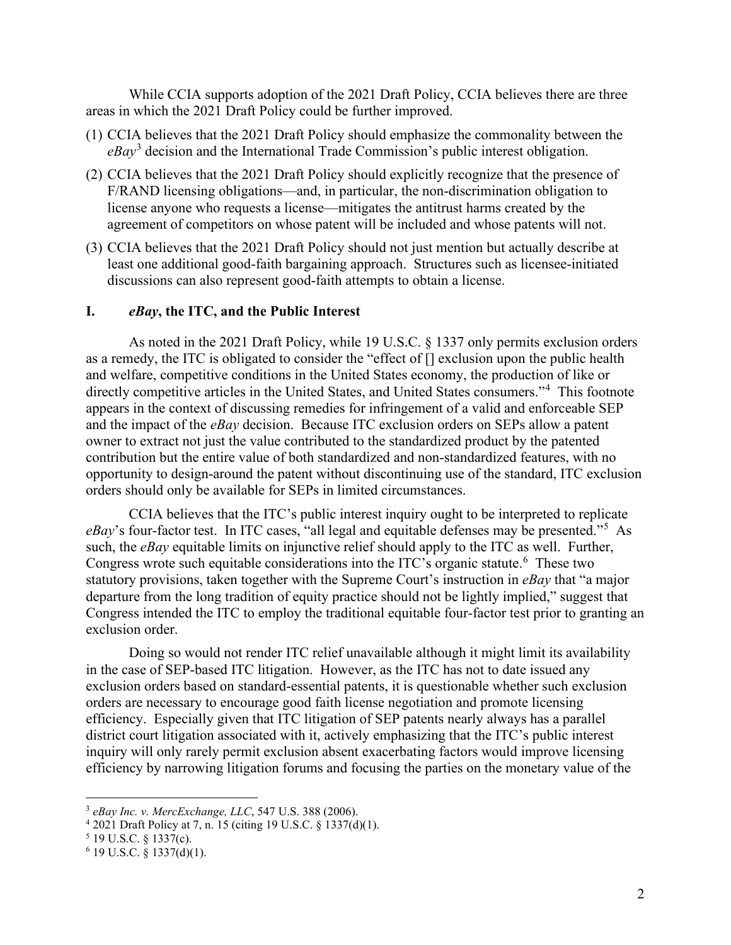While CCIA supports adoption of the 2021 Draft Policy, CCIA believes there are three areas in which the 2021 Draft Policy could be further improved.

- (1) CCIA believes that the 2021 Draft Policy should emphasize the commonality between the *eBay*[3](#page-1-0) decision and the International Trade Commission's public interest obligation.
- (2) CCIA believes that the 2021 Draft Policy should explicitly recognize that the presence of F/RAND licensing obligations—and, in particular, the non-discrimination obligation to license anyone who requests a license—mitigates the antitrust harms created by the agreement of competitors on whose patent will be included and whose patents will not.
- (3) CCIA believes that the 2021 Draft Policy should not just mention but actually describe at least one additional good-faith bargaining approach. Structures such as licensee-initiated discussions can also represent good-faith attempts to obtain a license.

### **I.** *eBay***, the ITC, and the Public Interest**

As noted in the 2021 Draft Policy, while 19 U.S.C. § 1337 only permits exclusion orders as a remedy, the ITC is obligated to consider the "effect of [] exclusion upon the public health and welfare, competitive conditions in the United States economy, the production of like or directly competitive articles in the United States, and United States consumers."[4](#page-1-1) This footnote appears in the context of discussing remedies for infringement of a valid and enforceable SEP and the impact of the *eBay* decision. Because ITC exclusion orders on SEPs allow a patent owner to extract not just the value contributed to the standardized product by the patented contribution but the entire value of both standardized and non-standardized features, with no opportunity to design-around the patent without discontinuing use of the standard, ITC exclusion orders should only be available for SEPs in limited circumstances.

CCIA believes that the ITC's public interest inquiry ought to be interpreted to replicate eBay's four-factor test. In ITC cases, "all legal and equitable defenses may be presented."<sup>[5](#page-1-2)</sup> As such, the *eBay* equitable limits on injunctive relief should apply to the ITC as well. Further, Congress wrote such equitable considerations into the ITC's organic statute.<sup>[6](#page-1-3)</sup> These two statutory provisions, taken together with the Supreme Court's instruction in *eBay* that "a major departure from the long tradition of equity practice should not be lightly implied," suggest that Congress intended the ITC to employ the traditional equitable four-factor test prior to granting an exclusion order.

Doing so would not render ITC relief unavailable although it might limit its availability in the case of SEP-based ITC litigation. However, as the ITC has not to date issued any exclusion orders based on standard-essential patents, it is questionable whether such exclusion orders are necessary to encourage good faith license negotiation and promote licensing efficiency. Especially given that ITC litigation of SEP patents nearly always has a parallel district court litigation associated with it, actively emphasizing that the ITC's public interest inquiry will only rarely permit exclusion absent exacerbating factors would improve licensing efficiency by narrowing litigation forums and focusing the parties on the monetary value of the

<span id="page-1-0"></span><sup>3</sup> *eBay Inc. v. MercExchange, LLC*, 547 U.S. 388 (2006).

<span id="page-1-1"></span><sup>4</sup> 2021 Draft Policy at 7, n. 15 (citing 19 U.S.C. § 1337(d)(1).

<span id="page-1-2"></span> $5$  19 U.S.C. § 1337(c).

<span id="page-1-3"></span> $6$  19 U.S.C. § 1337(d)(1).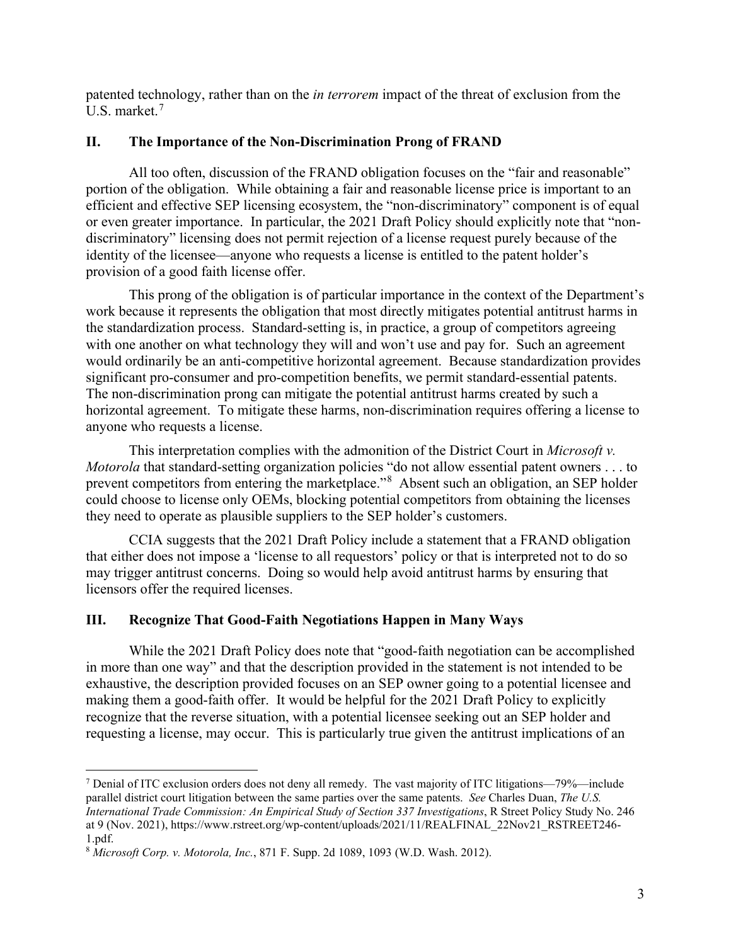patented technology, rather than on the *in terrorem* impact of the threat of exclusion from the U.S. market.[7](#page-2-0)

### **II. The Importance of the Non-Discrimination Prong of FRAND**

All too often, discussion of the FRAND obligation focuses on the "fair and reasonable" portion of the obligation. While obtaining a fair and reasonable license price is important to an efficient and effective SEP licensing ecosystem, the "non-discriminatory" component is of equal or even greater importance. In particular, the 2021 Draft Policy should explicitly note that "nondiscriminatory" licensing does not permit rejection of a license request purely because of the identity of the licensee—anyone who requests a license is entitled to the patent holder's provision of a good faith license offer.

This prong of the obligation is of particular importance in the context of the Department's work because it represents the obligation that most directly mitigates potential antitrust harms in the standardization process. Standard-setting is, in practice, a group of competitors agreeing with one another on what technology they will and won't use and pay for. Such an agreement would ordinarily be an anti-competitive horizontal agreement. Because standardization provides significant pro-consumer and pro-competition benefits, we permit standard-essential patents. The non-discrimination prong can mitigate the potential antitrust harms created by such a horizontal agreement. To mitigate these harms, non-discrimination requires offering a license to anyone who requests a license.

This interpretation complies with the admonition of the District Court in *Microsoft v. Motorola* that standard-setting organization policies "do not allow essential patent owners . . . to prevent competitors from entering the marketplace."<sup>[8](#page-2-1)</sup> Absent such an obligation, an SEP holder could choose to license only OEMs, blocking potential competitors from obtaining the licenses they need to operate as plausible suppliers to the SEP holder's customers.

CCIA suggests that the 2021 Draft Policy include a statement that a FRAND obligation that either does not impose a 'license to all requestors' policy or that is interpreted not to do so may trigger antitrust concerns. Doing so would help avoid antitrust harms by ensuring that licensors offer the required licenses.

## **III. Recognize That Good-Faith Negotiations Happen in Many Ways**

While the 2021 Draft Policy does note that "good-faith negotiation can be accomplished in more than one way" and that the description provided in the statement is not intended to be exhaustive, the description provided focuses on an SEP owner going to a potential licensee and making them a good-faith offer. It would be helpful for the 2021 Draft Policy to explicitly recognize that the reverse situation, with a potential licensee seeking out an SEP holder and requesting a license, may occur. This is particularly true given the antitrust implications of an

<span id="page-2-0"></span><sup>&</sup>lt;sup>7</sup> Denial of ITC exclusion orders does not deny all remedy. The vast majority of ITC litigations—79%—include parallel district court litigation between the same parties over the same patents. *See* Charles Duan, *The U.S. International Trade Commission: An Empirical Study of Section 337 Investigations*, R Street Policy Study No. 246 at 9 (Nov. 2021), https://www.rstreet.org/wp-content/uploads/2021/11/REALFINAL\_22Nov21\_RSTREET246- 1.pdf.

<span id="page-2-1"></span><sup>8</sup> *Microsoft Corp. v. Motorola, Inc.*, 871 F. Supp. 2d 1089, 1093 (W.D. Wash. 2012).